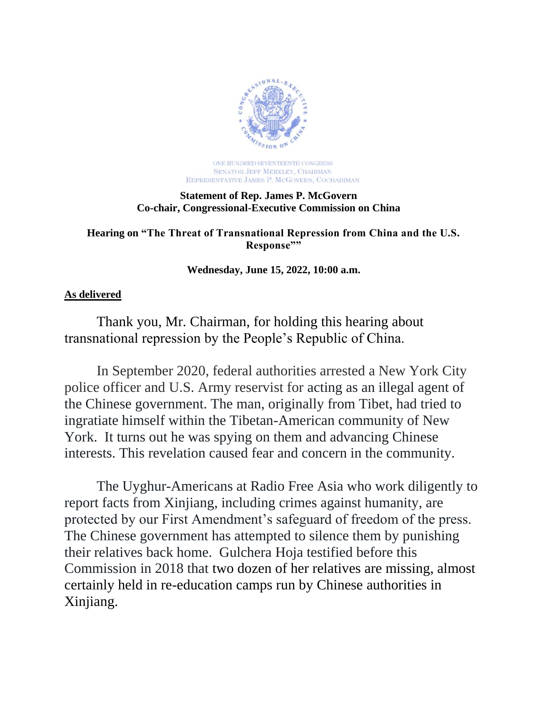

ONE HUNDRED SEVENTEENTH CONGRESS SENATOR JEFF MERKLEY, CHAIRMAN REPRESENTATIVE JAMES P. MCGOVERN, COCHAIRMAN

## **Statement of Rep. James P. McGovern Co-chair, Congressional-Executive Commission on China**

**Hearing on "The Threat of Transnational Repression from China and the U.S. Response""**

**Wednesday, June 15, 2022, 10:00 a.m.**

## **As delivered**

Thank you, Mr. Chairman, for holding this hearing about transnational repression by the People's Republic of China.

In September 2020, federal authorities arrested a New York City police officer and U.S. Army reservist for acting as an illegal agent of the Chinese government. The man, originally from Tibet, had tried to ingratiate himself within the Tibetan-American community of New York. It turns out he was spying on them and advancing Chinese interests. This revelation caused fear and concern in the community.

The Uyghur-Americans at Radio Free Asia who work diligently to report facts from Xinjiang, including crimes against humanity, are protected by our First Amendment's safeguard of freedom of the press. The Chinese government has attempted to silence them by punishing their relatives back home. Gulchera Hoja testified before this Commission in 2018 that two dozen of her relatives are missing, almost certainly held in re-education camps run by Chinese authorities in Xinjiang.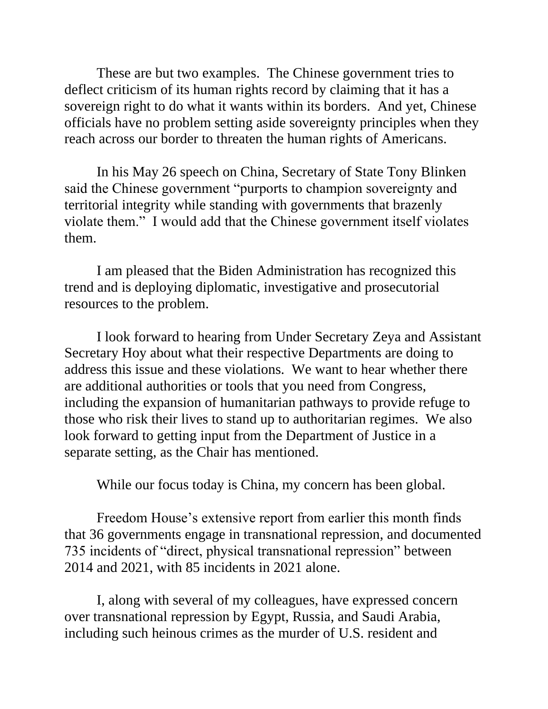These are but two examples. The Chinese government tries to deflect criticism of its human rights record by claiming that it has a sovereign right to do what it wants within its borders. And yet, Chinese officials have no problem setting aside sovereignty principles when they reach across our border to threaten the human rights of Americans.

In his May 26 speech on China, Secretary of State Tony Blinken said the Chinese government "purports to champion sovereignty and territorial integrity while standing with governments that brazenly violate them." I would add that the Chinese government itself violates them.

I am pleased that the Biden Administration has recognized this trend and is deploying diplomatic, investigative and prosecutorial resources to the problem.

I look forward to hearing from Under Secretary Zeya and Assistant Secretary Hoy about what their respective Departments are doing to address this issue and these violations. We want to hear whether there are additional authorities or tools that you need from Congress, including the expansion of humanitarian pathways to provide refuge to those who risk their lives to stand up to authoritarian regimes. We also look forward to getting input from the Department of Justice in a separate setting, as the Chair has mentioned.

While our focus today is China, my concern has been global.

Freedom House's extensive report from earlier this month finds that 36 governments engage in transnational repression, and documented 735 incidents of "direct, physical transnational repression" between 2014 and 2021, with 85 incidents in 2021 alone.

I, along with several of my colleagues, have expressed concern over transnational repression by Egypt, Russia, and Saudi Arabia, including such heinous crimes as the murder of U.S. resident and